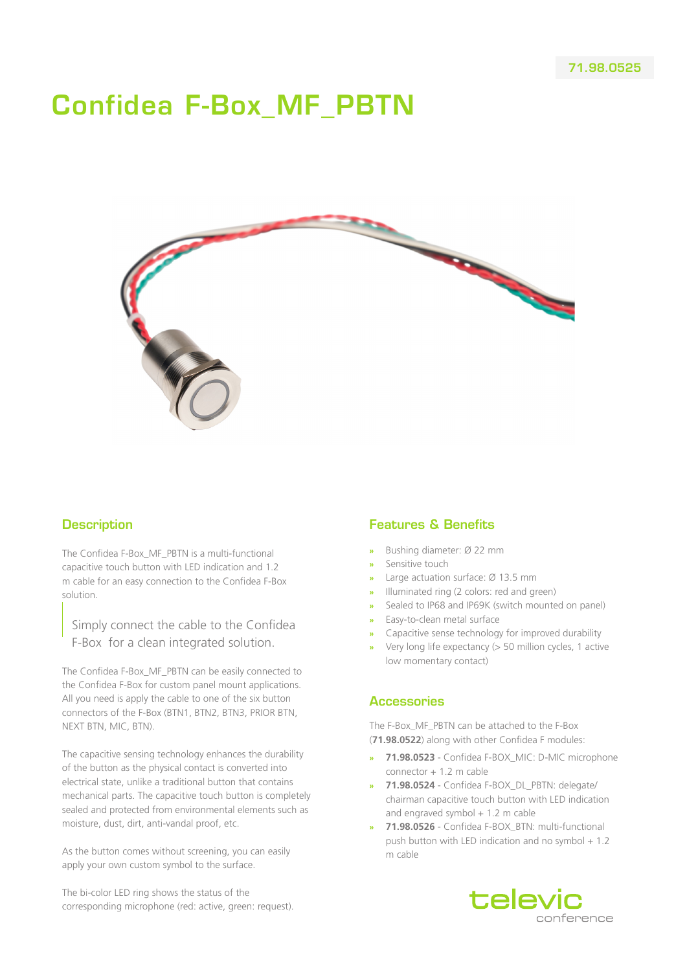# Confidea F-Box\_MF\_PBTN



### **Description**

The Confidea F-Box\_MF\_PBTN is a multi-functional capacitive touch button with LED indication and 1.2 m cable for an easy connection to the Confidea F-Box solution.

Simply connect the cable to the Confidea F-Box for a clean integrated solution.

The Confidea F-Box\_MF\_PBTN can be easily connected to the Confidea F-Box for custom panel mount applications. All you need is apply the cable to one of the six button connectors of the F-Box (BTN1, BTN2, BTN3, PRIOR BTN, NEXT BTN, MIC, BTN).

The capacitive sensing technology enhances the durability of the button as the physical contact is converted into electrical state, unlike a traditional button that contains mechanical parts. The capacitive touch button is completely sealed and protected from environmental elements such as moisture, dust, dirt, anti-vandal proof, etc.

As the button comes without screening, you can easily apply your own custom symbol to the surface.

The bi-color LED ring shows the status of the corresponding microphone (red: active, green: request).

## Features & Benefits

- **»** Bushing diameter: Ø 22 mm
- **»** Sensitive touch
- **»** Large actuation surface: Ø 13.5 mm
- **»** Illuminated ring (2 colors: red and green)
- **»** Sealed to IP68 and IP69K (switch mounted on panel)
- **»** Easy-to-clean metal surface
- **»** Capacitive sense technology for improved durability
- **»** Very long life expectancy (> 50 million cycles, 1 active low momentary contact)

#### **Accessories**

The F-Box\_MF\_PBTN can be attached to the F-Box (**71.98.0522**) along with other Confidea F modules:

- **» 71.98.0523** Confidea F-BOX\_MIC: D-MIC microphone connector + 1.2 m cable
- **» 71.98.0524** Confidea F-BOX\_DL\_PBTN: delegate/ chairman capacitive touch button with LED indication and engraved symbol  $+1.2$  m cable
- **» 71.98.0526** Confidea F-BOX\_BTN: multi-functional push button with LED indication and no symbol  $+1.2$ m cable